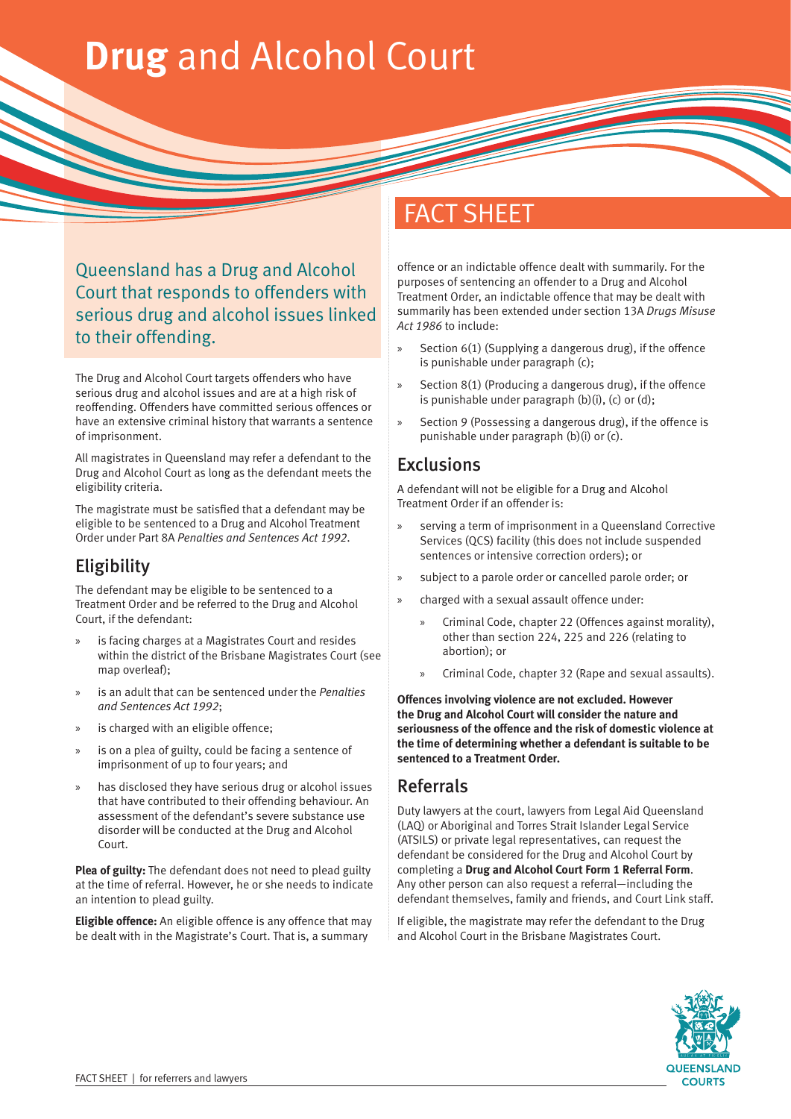# **Drug** and Alcohol Court

Queensland has a Drug and Alcohol Court that responds to offenders with serious drug and alcohol issues linked to their offending.

The Drug and Alcohol Court targets offenders who have serious drug and alcohol issues and are at a high risk of reoffending. Offenders have committed serious offences or have an extensive criminal history that warrants a sentence of imprisonment.

All magistrates in Queensland may refer a defendant to the Drug and Alcohol Court as long as the defendant meets the eligibility criteria.

The magistrate must be satisfied that a defendant may be eligible to be sentenced to a Drug and Alcohol Treatment Order under Part 8A *Penalties and Sentences Act 1992*.

## **Eligibility**

The defendant may be eligible to be sentenced to a Treatment Order and be referred to the Drug and Alcohol Court, if the defendant:

- is facing charges at a Magistrates Court and resides within the district of the Brisbane Magistrates Court (see map overleaf);
- » is an adult that can be sentenced under the *Penalties and Sentences Act 1992*;
- is charged with an eligible offence;
- is on a plea of guilty, could be facing a sentence of imprisonment of up to four years; and
- » has disclosed they have serious drug or alcohol issues that have contributed to their offending behaviour. An assessment of the defendant's severe substance use disorder will be conducted at the Drug and Alcohol Court.

**Plea of guilty:** The defendant does not need to plead guilty at the time of referral. However, he or she needs to indicate an intention to plead guilty.

**Eligible offence:** An eligible offence is any offence that may be dealt with in the Magistrate's Court. That is, a summary

# FACT SHEET

offence or an indictable offence dealt with summarily. For the purposes of sentencing an offender to a Drug and Alcohol Treatment Order, an indictable offence that may be dealt with summarily has been extended under section 13A *Drugs Misuse Act 1986* to include:

- Section 6(1) (Supplying a dangerous drug), if the offence is punishable under paragraph (c);
- Section 8(1) (Producing a dangerous drug), if the offence is punishable under paragraph  $(b)(i)$ ,  $(c)$  or  $(d)$ ;
- Section 9 (Possessing a dangerous drug), if the offence is punishable under paragraph (b)(i) or (c).

#### **Exclusions**

A defendant will not be eligible for a Drug and Alcohol Treatment Order if an offender is:

- serving a term of imprisonment in a Queensland Corrective Services (QCS) facility (this does not include suspended sentences or intensive correction orders); or
- » subject to a parole order or cancelled parole order; or
- » charged with a sexual assault offence under:
	- » Criminal Code, chapter 22 (Offences against morality), other than section 224, 225 and 226 (relating to abortion); or
	- » Criminal Code, chapter 32 (Rape and sexual assaults).

**Offences involving violence are not excluded. However the Drug and Alcohol Court will consider the nature and seriousness of the offence and the risk of domestic violence at the time of determining whether a defendant is suitable to be sentenced to a Treatment Order.** 

#### Referrals

Duty lawyers at the court, lawyers from Legal Aid Queensland (LAQ) or Aboriginal and Torres Strait Islander Legal Service (ATSILS) or private legal representatives, can request the defendant be considered for the Drug and Alcohol Court by completing a **Drug and Alcohol Court Form 1 Referral Form**. Any other person can also request a referral—including the defendant themselves, family and friends, and Court Link staff.

If eligible, the magistrate may refer the defendant to the Drug and Alcohol Court in the Brisbane Magistrates Court.